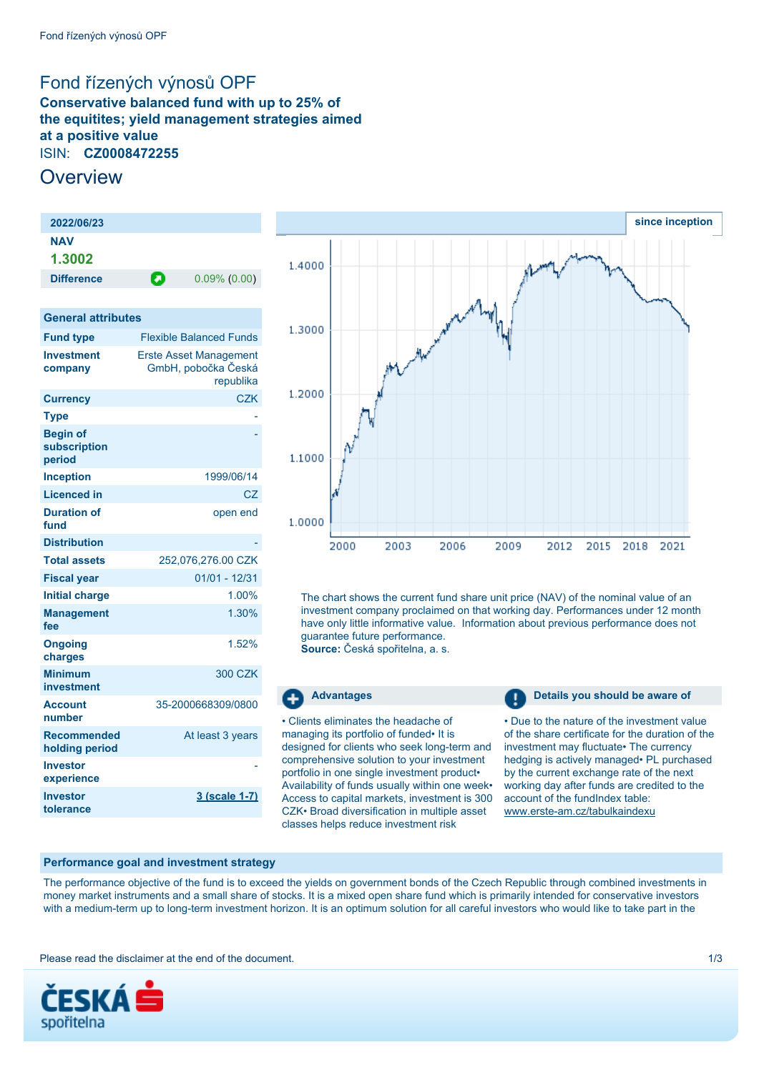# <span id="page-0-0"></span>Fond řízených výnosů OPF

**Conservative balanced fund with up to 25% of the equitites; yield management strategies aimed at a positive value** ISIN: **CZ0008472255**

# **Overview**

| 2022/06/23        |   |                 |
|-------------------|---|-----------------|
| <b>NAV</b>        |   |                 |
| 1.3002            |   |                 |
| <b>Difference</b> | О | $0.09\%$ (0.00) |
|                   |   |                 |

### **General attributes**

| <b>Fund type</b>                          | <b>Flexible Balanced Funds</b>                                    |
|-------------------------------------------|-------------------------------------------------------------------|
| <b>Investment</b><br>company              | <b>Erste Asset Management</b><br>GmbH, pobočka Česká<br>republika |
| <b>Currency</b>                           | <b>CZK</b>                                                        |
| <b>Type</b>                               |                                                                   |
| <b>Begin of</b><br>subscription<br>period |                                                                   |
| <b>Inception</b>                          | 1999/06/14                                                        |
| <b>Licenced in</b>                        | CZ                                                                |
| <b>Duration of</b><br>fund                | open end                                                          |
| <b>Distribution</b>                       |                                                                   |
| <b>Total assets</b>                       | 252,076,276.00 CZK                                                |
| <b>Fiscal year</b>                        | $01/01 - 12/31$                                                   |
| <b>Initial charge</b>                     | 1.00%                                                             |
| <b>Management</b><br>fee                  | 1.30%                                                             |
| <b>Ongoing</b><br>charges                 | 1.52%                                                             |
| <b>Minimum</b><br>investment              | 300 CZK                                                           |
| <b>Account</b><br>number                  | 35-2000668309/0800                                                |
| <b>Recommended</b><br>holding period      | At least 3 years                                                  |
| <b>Investor</b><br>experience             |                                                                   |
| Investor<br>tolerance                     | 3 (scale 1-7)                                                     |



The chart shows the current fund share unit price (NAV) of the nominal value of an investment company proclaimed on that working day. Performances under 12 month have only little informative value. Information about previous performance does not guarantee future performance.

**Source:** Česká spořitelna, a. s.

#### -⊾

• Clients eliminates the headache of managing its portfolio of funded• It is designed for clients who seek long-term and comprehensive solution to your investment portfolio in one single investment product• Availability of funds usually within one week• Access to capital markets, investment is 300 CZK• Broad diversification in multiple asset classes helps reduce investment risk

**Advantages Details you should be aware of** 

• Due to the nature of the investment value of the share certificate for the duration of the investment may fluctuate• The currency hedging is actively managed• PL purchased by the current exchange rate of the next working day after funds are credited to the account of the fundIndex table: [www.erste-am.cz/tabulkaindexu](http://www.erste-am.cz/tabulkaindexu)

## **Performance goal and investment strategy**

The performance objective of the fund is to exceed the yields on government bonds of the Czech Republic through combined investments in money market instruments and a small share of stocks. It is a mixed open share fund which is primarily intended for conservative investors with a medium-term up to long-term investment horizon. It is an optimum solution for all careful investors who would like to take part in the

Please read the disclaimer at the end of the document. The state of the document of the state of the document of the state of the document of the state of the state of the document of the state of the state of the state of

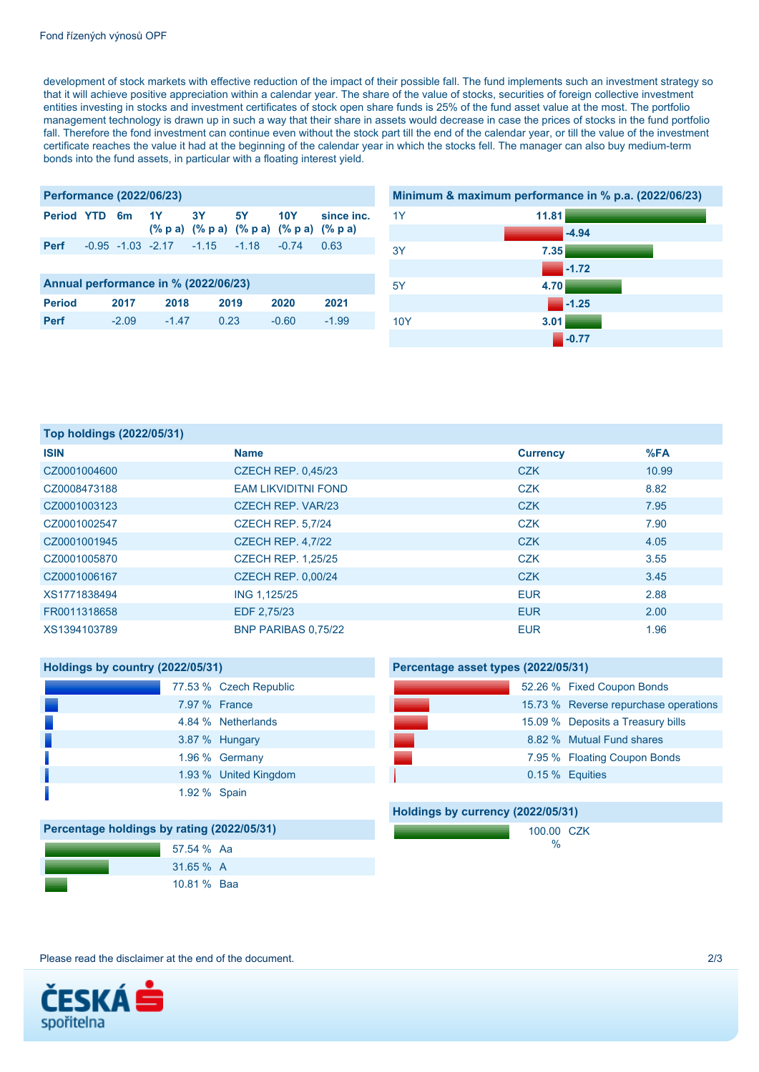development of stock markets with effective reduction of the impact of their possible fall. The fund implements such an investment strategy so that it will achieve positive appreciation within a calendar year. The share of the value of stocks, securities of foreign collective investment entities investing in stocks and investment certificates of stock open share funds is 25% of the fund asset value at the most. The portfolio management technology is drawn up in such a way that their share in assets would decrease in case the prices of stocks in the fund portfolio fall. Therefore the fond investment can continue even without the stock part till the end of the calendar year, or till the value of the investment certificate reaches the value it had at the beginning of the calendar year in which the stocks fell. The manager can also buy medium-term bonds into the fund assets, in particular with a floating interest yield.

| <b>Performance (2022/06/23)</b> |  |  |  |                                                             |  |  |                                       |
|---------------------------------|--|--|--|-------------------------------------------------------------|--|--|---------------------------------------|
|                                 |  |  |  | $(\%$ p a) $(\%$ p a) $(\%$ p a) $(\%$ p a) $(\%$ p a)      |  |  | Period YTD 6m 1Y 3Y 5Y 10Y since inc. |
|                                 |  |  |  | <b>Perf</b> $-0.95$ $-1.03$ $-2.17$ $-1.15$ $-1.18$ $-0.74$ |  |  | 0.63                                  |
|                                 |  |  |  |                                                             |  |  |                                       |
|                                 |  |  |  |                                                             |  |  |                                       |

| Annual performance in % (2022/06/23) |         |         |      |       |         |  |
|--------------------------------------|---------|---------|------|-------|---------|--|
| <b>Period</b>                        | 2017    | 2018    | 2019 | 2020  | 2021    |  |
| <b>Perf</b>                          | $-2.09$ | $-1.47$ | 0.23 | -0.60 | $-1.99$ |  |



| Top holdings (2022/05/31) |                            |                 |       |  |  |
|---------------------------|----------------------------|-----------------|-------|--|--|
| <b>ISIN</b>               | <b>Name</b>                | <b>Currency</b> | %FA   |  |  |
| CZ0001004600              | <b>CZECH REP. 0,45/23</b>  | <b>CZK</b>      | 10.99 |  |  |
| CZ0008473188              | <b>EAM LIKVIDITNI FOND</b> | <b>CZK</b>      | 8.82  |  |  |
| CZ0001003123              | CZECH REP. VAR/23          | <b>CZK</b>      | 7.95  |  |  |
| CZ0001002547              | <b>CZECH REP. 5,7/24</b>   | <b>CZK</b>      | 7.90  |  |  |
| CZ0001001945              | CZECH REP. 4,7/22          | <b>CZK</b>      | 4.05  |  |  |
| CZ0001005870              | <b>CZECH REP. 1,25/25</b>  | <b>CZK</b>      | 3.55  |  |  |
| CZ0001006167              | <b>CZECH REP. 0,00/24</b>  | <b>CZK</b>      | 3.45  |  |  |
| XS1771838494              | ING 1,125/25               | <b>EUR</b>      | 2.88  |  |  |
| FR0011318658              | EDF 2,75/23                | <b>EUR</b>      | 2.00  |  |  |
| XS1394103789              | BNP PARIBAS 0.75/22        | <b>EUR</b>      | 1.96  |  |  |

| Holdings by country (2022/05/31) |               |                        |  |  |
|----------------------------------|---------------|------------------------|--|--|
|                                  |               | 77.53 % Czech Republic |  |  |
|                                  | 7.97 % France |                        |  |  |
|                                  |               | 4.84 % Netherlands     |  |  |
|                                  |               | 3.87 % Hungary         |  |  |
|                                  |               | 1.96 % Germany         |  |  |
|                                  |               | 1.93 % United Kingdom  |  |  |
|                                  | 1.92 % Spain  |                        |  |  |

|  | 52.26 % Fixed Coupon Bonds            |
|--|---------------------------------------|
|  | 15.73 % Reverse repurchase operations |
|  | 15.09 % Deposits a Treasury bills     |
|  | 8.82 % Mutual Fund shares             |
|  | 7.95 % Floating Coupon Bonds          |
|  | 0.15 % Equities                       |
|  |                                       |
|  |                                       |

# **Holdings by currency (2022/05/31)**

**Percentage asset types (2022/05/31)**

100.00 CZK %

| Percentage holdings by rating (2022/05/31) |             |  |  |  |
|--------------------------------------------|-------------|--|--|--|
|                                            | 57.54 % Aa  |  |  |  |
|                                            | $31.65\%$ A |  |  |  |
|                                            | 10.81 % Baa |  |  |  |

Please read the disclaimer at the end of the document. 2/3